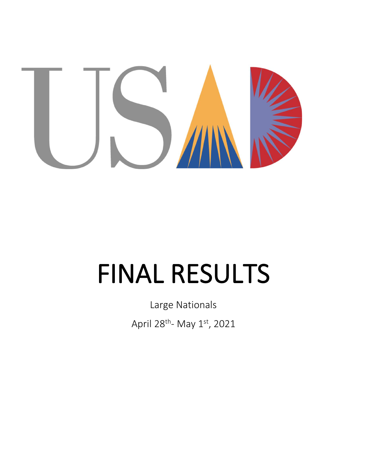

# **FINAL RESULTS**

Large Nationals

April 28<sup>th</sup>- May 1st, 2021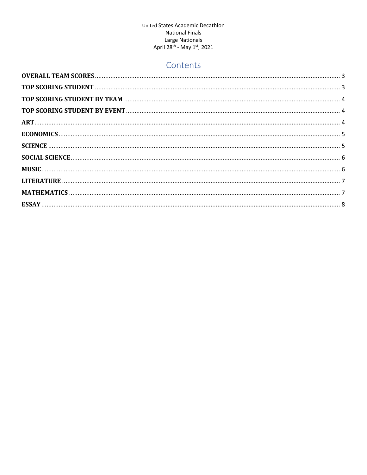# Contents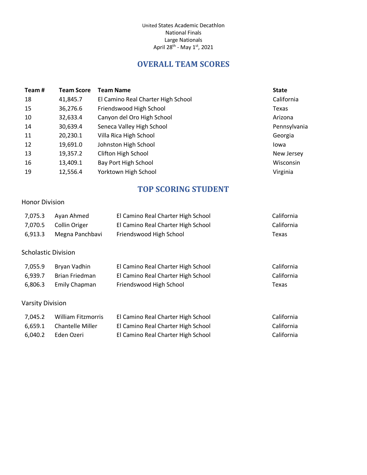# **OVERALL TEAM SCORES**

<span id="page-2-0"></span>

| Team# | <b>Team Score</b> | <b>Team Name</b>                   | <b>State</b> |
|-------|-------------------|------------------------------------|--------------|
| 18    | 41,845.7          | El Camino Real Charter High School | California   |
| 15    | 36,276.6          | Friendswood High School            | Texas        |
| 10    | 32,633.4          | Canyon del Oro High School         | Arizona      |
| 14    | 30,639.4          | Seneca Valley High School          | Pennsylvania |
| 11    | 20,230.1          | Villa Rica High School             | Georgia      |
| 12    | 19,691.0          | Johnston High School               | Iowa         |
| 13    | 19,357.2          | <b>Clifton High School</b>         | New Jersey   |
| 16    | 13,409.1          | Bay Port High School               | Wisconsin    |
| 19    | 12,556.4          | Yorktown High School               | Virginia     |

# **TOP SCORING STUDENT**

#### <span id="page-2-1"></span>Honor Division

| 7,075.3 | Avan Ahmed            | El Camino Real Charter High School | California |
|---------|-----------------------|------------------------------------|------------|
|         | 7,070.5 Collin Origer | El Camino Real Charter High School | California |
| 6.913.3 | Megna Panchbavi       | Friendswood High School            | Texas      |

#### Scholastic Division

| 7.055.9 | Bryan Vadhin   | El Camino Real Charter High School | California |
|---------|----------------|------------------------------------|------------|
| 6.939.7 | Brian Friedman | El Camino Real Charter High School | California |
| 6.806.3 | Emily Chapman  | Friendswood High School            | Texas      |

## Varsity Division

| 7.045.2 | William Fitzmorris       | El Camino Real Charter High School | California |
|---------|--------------------------|------------------------------------|------------|
|         | 6.659.1 Chantelle Miller | El Camino Real Charter High School | California |
| 6.040.2 | Eden Ozeri               | El Camino Real Charter High School | California |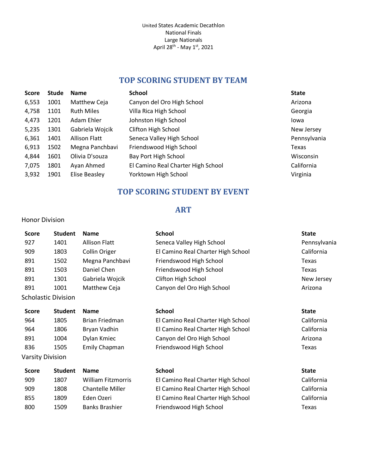# **TOP SCORING STUDENT BY TEAM**

<span id="page-3-0"></span>

| <b>Score</b> | Stude | <b>Name</b>          | <b>School</b>                      | <b>State</b> |
|--------------|-------|----------------------|------------------------------------|--------------|
| 6,553        | 1001  | Matthew Ceja         | Canyon del Oro High School         | Arizona      |
| 4,758        | 1101  | <b>Ruth Miles</b>    | Villa Rica High School             | Georgia      |
| 4,473        | 1201  | Adam Ehler           | Johnston High School               | Iowa         |
| 5,235        | 1301  | Gabriela Wojcik      | <b>Clifton High School</b>         | New Jersey   |
| 6,361        | 1401  | <b>Allison Flatt</b> | Seneca Valley High School          | Pennsylvania |
| 6,913        | 1502  | Megna Panchbavi      | Friendswood High School            | Texas        |
| 4,844        | 1601  | Olivia D'souza       | Bay Port High School               | Wisconsin    |
| 7,075        | 1801  | Ayan Ahmed           | El Camino Real Charter High School | California   |
| 3,932        | 1901  | Elise Beasley        | Yorktown High School               | Virginia     |

# **TOP SCORING STUDENT BY EVENT**

## **ART**

#### <span id="page-3-2"></span><span id="page-3-1"></span>Honor Division

| <b>Score</b>     | <b>Student</b>             | <b>Name</b>          | <b>School</b>                      | <b>State</b> |
|------------------|----------------------------|----------------------|------------------------------------|--------------|
| 927              | 1401                       | <b>Allison Flatt</b> | Seneca Valley High School          | Pennsylvania |
| 909              | 1803                       | <b>Collin Origer</b> | El Camino Real Charter High School | California   |
| 891              | 1502                       | Megna Panchbavi      | Friendswood High School            | Texas        |
| 891              | 1503                       | Daniel Chen          | Friendswood High School            | Texas        |
| 891              | 1301                       | Gabriela Wojcik      | <b>Clifton High School</b>         | New Jersey   |
| 891              | 1001                       | Matthew Ceja         | Canyon del Oro High School         | Arizona      |
|                  | <b>Scholastic Division</b> |                      |                                    |              |
| <b>Score</b>     | <b>Student</b>             | <b>Name</b>          | <b>School</b>                      | <b>State</b> |
| 964              | 1805                       | Brian Friedman       | El Camino Real Charter High School | California   |
| 964              | 1806                       | Bryan Vadhin         | El Camino Real Charter High School | California   |
| 891              | 1004                       | Dylan Kmiec          | Canyon del Oro High School         | Arizona      |
| 836              | 1505                       | Emily Chapman        | Friendswood High School            | Texas        |
| Varsity Division |                            |                      |                                    |              |
| <b>Score</b>     | <b>Student</b>             | <b>Name</b>          | <b>School</b>                      | <b>State</b> |

| JLUI C | <b>JLUUCIIL</b> | панс                    | JUUUL                              | <b>JLALE</b> |
|--------|-----------------|-------------------------|------------------------------------|--------------|
| 909    | 1807            | William Fitzmorris      | El Camino Real Charter High School | California   |
| 909    | 1808            | <b>Chantelle Miller</b> | El Camino Real Charter High School | California   |
| 855    | 1809            | Eden Ozeri              | El Camino Real Charter High School | California   |
| 800    | 1509            | <b>Banks Brashier</b>   | Friendswood High School            | Texas        |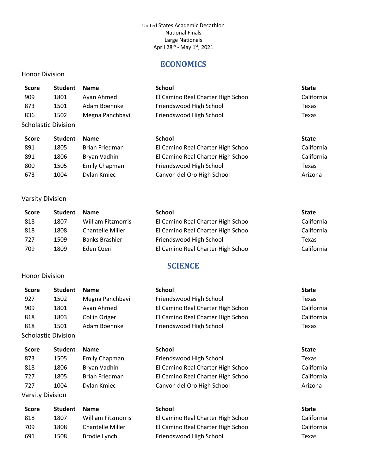# **ECONOMICS**

## <span id="page-4-0"></span>Honor Division

| <b>Score</b> | <b>Student</b>             | <b>Name</b>     | <b>School</b>                      | <b>State</b> |
|--------------|----------------------------|-----------------|------------------------------------|--------------|
| 909          | 1801                       | Ayan Ahmed      | El Camino Real Charter High School | California   |
| 873          | 1501                       | Adam Boehnke    | Friendswood High School            | Texas        |
| 836          | 1502                       | Megna Panchbavi | Friendswood High School            | Texas        |
|              | <b>Scholastic Division</b> |                 |                                    |              |

| <b>Student</b> | <b>Name</b>    | <b>School</b>                      | <b>State</b> |
|----------------|----------------|------------------------------------|--------------|
| 1805           | Brian Friedman | El Camino Real Charter High School | California   |
| 1806           | Bryan Vadhin   | El Camino Real Charter High School | California   |
| 1505           | Emily Chapman  | Friendswood High School            | Texas        |
| 1004           | Dylan Kmiec    | Canyon del Oro High School         | Arizona      |
|                |                |                                    |              |

# Varsity Division

<span id="page-4-1"></span>Honor Division

| Score | <b>Student</b> | <b>Name</b>             | <b>School</b>                      | <b>State</b> |
|-------|----------------|-------------------------|------------------------------------|--------------|
| 818   | 1807           | William Fitzmorris      | El Camino Real Charter High School | California   |
| 818   | 1808           | <b>Chantelle Miller</b> | El Camino Real Charter High School | California   |
| 727   | 1509           | <b>Banks Brashier</b>   | Friendswood High School            | Texas        |
| 709   | 1809           | Eden Ozeri              | El Camino Real Charter High School | California   |

# **SCIENCE**

| <b>Score</b>            | <b>Student</b>             | <b>Name</b>             | <b>School</b>                      | <b>State</b> |
|-------------------------|----------------------------|-------------------------|------------------------------------|--------------|
| 927                     | 1502                       | Megna Panchbavi         | Friendswood High School            | Texas        |
| 909                     | 1801                       | Ayan Ahmed              | El Camino Real Charter High School | California   |
| 818                     | 1803                       | Collin Origer           | El Camino Real Charter High School | California   |
| 818                     | 1501                       | Adam Boehnke            | Friendswood High School            | Texas        |
|                         | <b>Scholastic Division</b> |                         |                                    |              |
| <b>Score</b>            | <b>Student</b>             | <b>Name</b>             | <b>School</b>                      | <b>State</b> |
| 873                     | 1505                       | <b>Emily Chapman</b>    | Friendswood High School            | Texas        |
| 818                     | 1806                       | Bryan Vadhin            | El Camino Real Charter High School | California   |
| 727                     | 1805                       | Brian Friedman          | El Camino Real Charter High School | California   |
| 727                     | 1004                       | Dylan Kmiec             | Canyon del Oro High School         | Arizona      |
| <b>Varsity Division</b> |                            |                         |                                    |              |
| <b>Score</b>            | <b>Student</b>             | <b>Name</b>             | <b>School</b>                      | <b>State</b> |
| 818                     | 1807                       | William Fitzmorris      | El Camino Real Charter High School | California   |
| 709                     | 1808                       | <b>Chantelle Miller</b> | El Camino Real Charter High School | California   |
| 691                     | 1508                       | Brodie Lynch            | Friendswood High School            | Texas        |
|                         |                            |                         |                                    |              |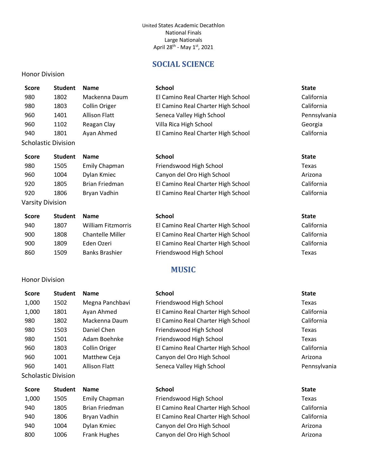# **SOCIAL SCIENCE**

<span id="page-5-0"></span>

<span id="page-5-1"></span>Honor Division

| <b>Score</b>        | <b>Student</b> | <b>Name</b>          | <b>School</b>                      | <b>State</b> |
|---------------------|----------------|----------------------|------------------------------------|--------------|
| 980                 | 1802           | Mackenna Daum        | El Camino Real Charter High School | California   |
| 980                 | 1803           | Collin Origer        | El Camino Real Charter High School | California   |
| 960                 | 1401           | <b>Allison Flatt</b> | Seneca Valley High School          | Pennsylvania |
| 960                 | 1102           | Reagan Clay          | Villa Rica High School             | Georgia      |
| 940                 | 1801           | Ayan Ahmed           | El Camino Real Charter High School | California   |
| Scholastic Division |                |                      |                                    |              |
|                     |                |                      |                                    |              |
| <b>Score</b>        | <b>Student</b> | <b>Name</b>          | <b>School</b>                      | <b>State</b> |
| 980                 | 1505           | Emily Chapman        | Friendswood High School            | Texas        |
| 960                 | 1004           | Dylan Kmiec          | Canyon del Oro High School         | Arizona      |
| 920                 | 1805           | Brian Friedman       | El Camino Real Charter High School | California   |
| 920                 | 1806           | Bryan Vadhin         | El Camino Real Charter High School | California   |

| Score | <b>Student</b> | <b>Name</b>               | School                             | <b>State</b> |
|-------|----------------|---------------------------|------------------------------------|--------------|
| 940   | 1807           | <b>William Fitzmorris</b> | El Camino Real Charter High School | California   |
| 900   | 1808           | <b>Chantelle Miller</b>   | El Camino Real Charter High School | California   |
| 900   | 1809           | Eden Ozeri                | El Camino Real Charter High School | California   |
| 860   | 1509           | <b>Banks Brashier</b>     | Friendswood High School            | Texas        |

# **MUSIC**

| <b>Score</b> | <b>Student</b>             | <b>Name</b>          | <b>School</b>                      | <b>State</b> |
|--------------|----------------------------|----------------------|------------------------------------|--------------|
| 1,000        | 1502                       | Megna Panchbavi      | Friendswood High School            | Texas        |
| 1,000        | 1801                       | Ayan Ahmed           | El Camino Real Charter High School | California   |
| 980          | 1802                       | Mackenna Daum        | El Camino Real Charter High School | California   |
| 980          | 1503                       | Daniel Chen          | Friendswood High School            | Texas        |
| 980          | 1501                       | Adam Boehnke         | Friendswood High School            | Texas        |
| 960          | 1803                       | Collin Origer        | El Camino Real Charter High School | California   |
| 960          | 1001                       | Matthew Ceja         | Canyon del Oro High School         | Arizona      |
| 960          | 1401                       | <b>Allison Flatt</b> | Seneca Valley High School          | Pennsylvania |
|              | <b>Scholastic Division</b> |                      |                                    |              |
| <b>Conta</b> | <b>Cturdont</b>            | <b>Namo</b>          | <b>School</b>                      | $C+0+0$      |

| score | student | <b>Name</b>         | <b>SCNOOL</b>                      | ыате       |
|-------|---------|---------------------|------------------------------------|------------|
| 1,000 | 1505    | Emily Chapman       | Friendswood High School            | Texas      |
| 940   | 1805    | Brian Friedman      | El Camino Real Charter High School | California |
| 940   | 1806    | Bryan Vadhin        | El Camino Real Charter High School | California |
| 940   | 1004    | Dylan Kmiec         | Canyon del Oro High School         | Arizona    |
| 800   | 1006    | <b>Frank Hughes</b> | Canyon del Oro High School         | Arizona    |
|       |         |                     |                                    |            |

| Name                 | <b>School</b>                      | <b>State</b> |
|----------------------|------------------------------------|--------------|
| <b>Emily Chapman</b> | Friendswood High School            | Texas        |
| Brian Friedman       | El Camino Real Charter High School | Califc       |
| Bryan Vadhin         | El Camino Real Charter High School | Califc       |
| Dylan Kmiec          | Canyon del Oro High School         | Arizo        |
| Frank Hughes         | Canyon del Oro High School         | Arizo        |

- 
-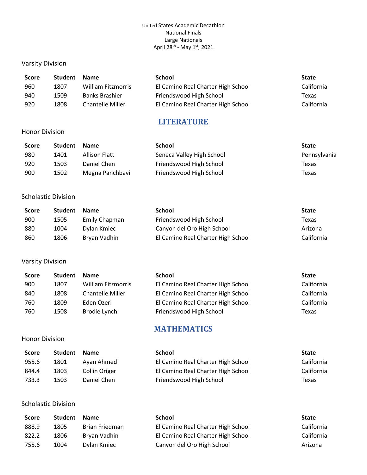#### Varsity Division

| <b>Score</b> | <b>Student</b> | <b>Name</b>             | School                             | <b>State</b> |
|--------------|----------------|-------------------------|------------------------------------|--------------|
| 960          | 1807           | William Fitzmorris      | El Camino Real Charter High School | California   |
| 940          | 1509           | <b>Banks Brashier</b>   | Friendswood High School            | Texas        |
| 920          | 1808           | <b>Chantelle Miller</b> | El Camino Real Charter High School | California   |

# **LITERATURE**

#### <span id="page-6-0"></span>Honor Division

| <b>Score</b> | <b>Student</b> | <b>Name</b>     | <b>School</b>             | <b>State</b> |
|--------------|----------------|-----------------|---------------------------|--------------|
| 980          | 1401           | Allison Flatt   | Seneca Valley High School | Pennsylvania |
| 920          | 1503           | Daniel Chen     | Friendswood High School   | Texas        |
| 900          | 1502           | Megna Panchbavi | Friendswood High School   | Texas        |

## Scholastic Division

| <b>Score</b> | <b>Student</b> | <b>Name</b>   | School                             | <b>State</b> |
|--------------|----------------|---------------|------------------------------------|--------------|
| 900          | 1505           | Emily Chapman | Friendswood High School            | Texas        |
| 880          | 1004           | Dylan Kmiec   | Canyon del Oro High School         | Arizona      |
| 860          | 1806           | Bryan Vadhin  | El Camino Real Charter High School | California   |

#### Varsity Division

<span id="page-6-1"></span>Honor Division

| Score | <b>Student</b> | <b>Name</b>               | School                             | <b>State</b> |
|-------|----------------|---------------------------|------------------------------------|--------------|
| 900   | 1807           | <b>William Fitzmorris</b> | El Camino Real Charter High School | California   |
| 840   | 1808           | <b>Chantelle Miller</b>   | El Camino Real Charter High School | California   |
| 760   | 1809           | Eden Ozeri                | El Camino Real Charter High School | California   |
| 760   | 1508           | Brodie Lynch              | Friendswood High School            | Texas        |

# **MATHEMATICS**

| <b>Score</b> | <b>Student</b> | <b>Name</b>   | <b>School</b>                      | <b>State</b> |
|--------------|----------------|---------------|------------------------------------|--------------|
| 955.6        | 1801           | Ayan Ahmed    | El Camino Real Charter High School | California   |
| 844.4        | 1803           | Collin Origer | El Camino Real Charter High School | California   |
| 733.3        | 1503           | Daniel Chen   | Friendswood High School            | Texas        |

## Scholastic Division

| <b>Score</b> | <b>Student</b> | <b>Name</b>           | <b>School</b>                      | <b>State</b> |
|--------------|----------------|-----------------------|------------------------------------|--------------|
| 888.9        | 1805           | <b>Brian Friedman</b> | El Camino Real Charter High School | California   |
| 822.2        | 1806           | Bryan Vadhin          | El Camino Real Charter High School | California   |
| 755.6        | 1004           | Dylan Kmiec           | Canyon del Oro High School         | Arizona      |